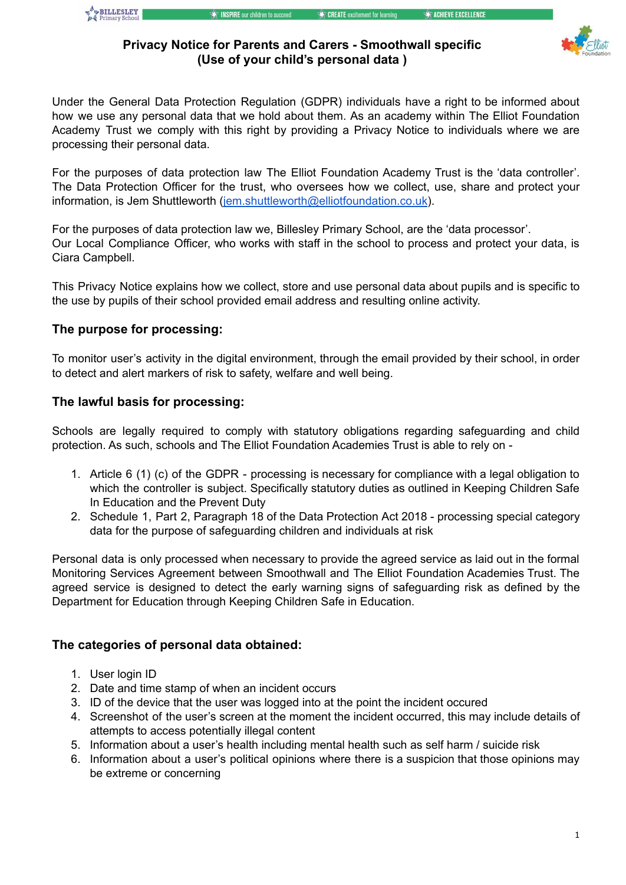

## **Privacy Notice for Parents and Carers - Smoothwall specific (Use of your child's personal data )**

Under the General Data Protection Regulation (GDPR) individuals have a right to be informed about how we use any personal data that we hold about them. As an academy within The Elliot Foundation Academy Trust we comply with this right by providing a Privacy Notice to individuals where we are processing their personal data.

For the purposes of data protection law The Elliot Foundation Academy Trust is the 'data controller'. The Data Protection Officer for the trust, who oversees how we collect, use, share and protect your information, is Jem Shuttleworth ([jem.shuttleworth@elliotfoundation.co.uk](mailto:jem.shuttleworth@elliotfoundation.co.uk)).

For the purposes of data protection law we, Billesley Primary School, are the 'data processor'. Our Local Compliance Officer, who works with staff in the school to process and protect your data, is Ciara Campbell.

This Privacy Notice explains how we collect, store and use personal data about pupils and is specific to the use by pupils of their school provided email address and resulting online activity.

## **The purpose for processing:**

To monitor user's activity in the digital environment, through the email provided by their school, in order to detect and alert markers of risk to safety, welfare and well being.

## **The lawful basis for processing:**

Schools are legally required to comply with statutory obligations regarding safeguarding and child protection. As such, schools and The Elliot Foundation Academies Trust is able to rely on -

- 1. Article 6 (1) (c) of the GDPR processing is necessary for compliance with a legal obligation to which the controller is subject. Specifically statutory duties as outlined in Keeping Children Safe In Education and the Prevent Duty
- 2. Schedule 1, Part 2, Paragraph 18 of the Data Protection Act 2018 processing special category data for the purpose of safeguarding children and individuals at risk

Personal data is only processed when necessary to provide the agreed service as laid out in the formal Monitoring Services Agreement between Smoothwall and The Elliot Foundation Academies Trust. The agreed service is designed to detect the early warning signs of safeguarding risk as defined by the Department for Education through Keeping Children Safe in Education.

## **The categories of personal data obtained:**

- 1. User login ID
- 2. Date and time stamp of when an incident occurs
- 3. ID of the device that the user was logged into at the point the incident occured
- 4. Screenshot of the user's screen at the moment the incident occurred, this may include details of attempts to access potentially illegal content
- 5. Information about a user's health including mental health such as self harm / suicide risk
- 6. Information about a user's political opinions where there is a suspicion that those opinions may be extreme or concerning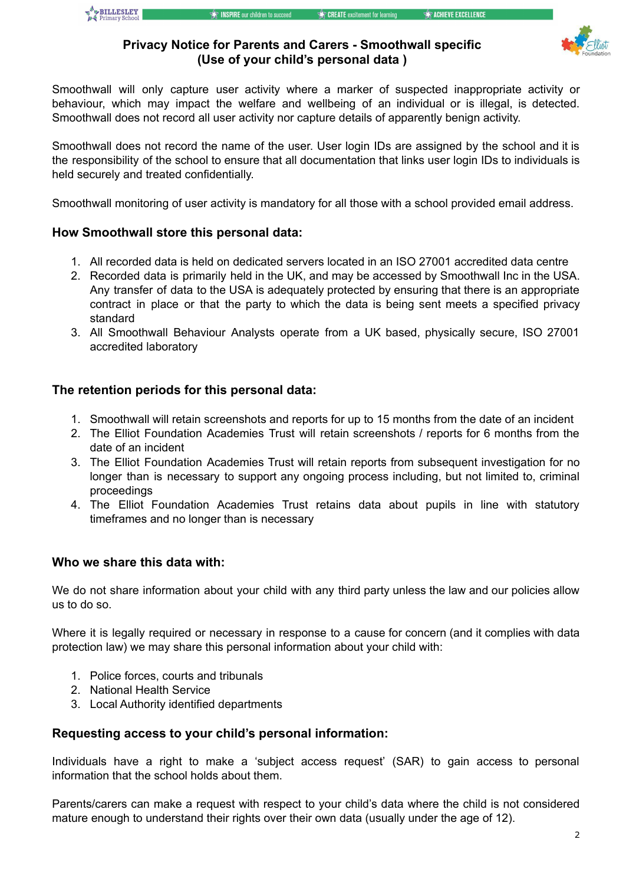

### **Privacy Notice for Parents and Carers - Smoothwall specific (Use of your child's personal data )**

Smoothwall will only capture user activity where a marker of suspected inappropriate activity or behaviour, which may impact the welfare and wellbeing of an individual or is illegal, is detected. Smoothwall does not record all user activity nor capture details of apparently benign activity.

Smoothwall does not record the name of the user. User login IDs are assigned by the school and it is the responsibility of the school to ensure that all documentation that links user login IDs to individuals is held securely and treated confidentially.

Smoothwall monitoring of user activity is mandatory for all those with a school provided email address.

## **How Smoothwall store this personal data:**

- 1. All recorded data is held on dedicated servers located in an ISO 27001 accredited data centre
- 2. Recorded data is primarily held in the UK, and may be accessed by Smoothwall Inc in the USA. Any transfer of data to the USA is adequately protected by ensuring that there is an appropriate contract in place or that the party to which the data is being sent meets a specified privacy standard
- 3. All Smoothwall Behaviour Analysts operate from a UK based, physically secure, ISO 27001 accredited laboratory

### **The retention periods for this personal data:**

- 1. Smoothwall will retain screenshots and reports for up to 15 months from the date of an incident
- 2. The Elliot Foundation Academies Trust will retain screenshots / reports for 6 months from the date of an incident
- 3. The Elliot Foundation Academies Trust will retain reports from subsequent investigation for no longer than is necessary to support any ongoing process including, but not limited to, criminal proceedings
- 4. The Elliot Foundation Academies Trust retains data about pupils in line with statutory timeframes and no longer than is necessary

#### **Who we share this data with:**

We do not share information about your child with any third party unless the law and our policies allow us to do so.

Where it is legally required or necessary in response to a cause for concern (and it complies with data protection law) we may share this personal information about your child with:

- 1. Police forces, courts and tribunals
- 2. National Health Service
- 3. Local Authority identified departments

#### **Requesting access to your child's personal information:**

Individuals have a right to make a 'subject access request' (SAR) to gain access to personal information that the school holds about them.

Parents/carers can make a request with respect to your child's data where the child is not considered mature enough to understand their rights over their own data (usually under the age of 12).